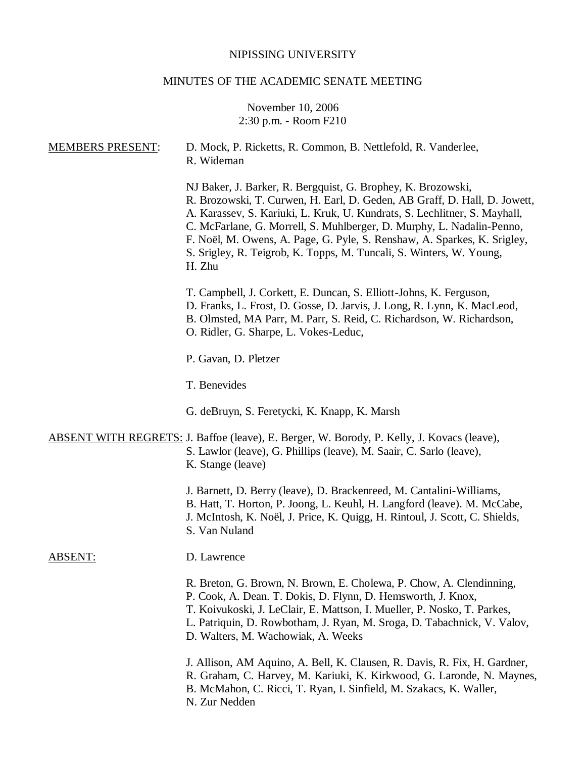# NIPISSING UNIVERSITY

# MINUTES OF THE ACADEMIC SENATE MEETING

# November 10, 2006 2:30 p.m. - Room F210

| <b>MEMBERS PRESENT:</b> | D. Mock, P. Ricketts, R. Common, B. Nettlefold, R. Vanderlee,<br>R. Wideman                                                                                                                                                                                                                                                                                                                                                                                  |
|-------------------------|--------------------------------------------------------------------------------------------------------------------------------------------------------------------------------------------------------------------------------------------------------------------------------------------------------------------------------------------------------------------------------------------------------------------------------------------------------------|
|                         | NJ Baker, J. Barker, R. Bergquist, G. Brophey, K. Brozowski,<br>R. Brozowski, T. Curwen, H. Earl, D. Geden, AB Graff, D. Hall, D. Jowett,<br>A. Karassev, S. Kariuki, L. Kruk, U. Kundrats, S. Lechlitner, S. Mayhall,<br>C. McFarlane, G. Morrell, S. Muhlberger, D. Murphy, L. Nadalin-Penno,<br>F. Noël, M. Owens, A. Page, G. Pyle, S. Renshaw, A. Sparkes, K. Srigley,<br>S. Srigley, R. Teigrob, K. Topps, M. Tuncali, S. Winters, W. Young,<br>H. Zhu |
|                         | T. Campbell, J. Corkett, E. Duncan, S. Elliott-Johns, K. Ferguson,<br>D. Franks, L. Frost, D. Gosse, D. Jarvis, J. Long, R. Lynn, K. MacLeod,<br>B. Olmsted, MA Parr, M. Parr, S. Reid, C. Richardson, W. Richardson,<br>O. Ridler, G. Sharpe, L. Vokes-Leduc,                                                                                                                                                                                               |
|                         | P. Gavan, D. Pletzer                                                                                                                                                                                                                                                                                                                                                                                                                                         |
|                         | T. Benevides                                                                                                                                                                                                                                                                                                                                                                                                                                                 |
|                         | G. deBruyn, S. Feretycki, K. Knapp, K. Marsh                                                                                                                                                                                                                                                                                                                                                                                                                 |
|                         | <b>ABSENT WITH REGRETS: J. Baffoe (leave), E. Berger, W. Borody, P. Kelly, J. Kovacs (leave),</b><br>S. Lawlor (leave), G. Phillips (leave), M. Saair, C. Sarlo (leave),<br>K. Stange (leave)                                                                                                                                                                                                                                                                |
|                         | J. Barnett, D. Berry (leave), D. Brackenreed, M. Cantalini-Williams,<br>B. Hatt, T. Horton, P. Joong, L. Keuhl, H. Langford (leave). M. McCabe,<br>J. McIntosh, K. Noël, J. Price, K. Quigg, H. Rintoul, J. Scott, C. Shields,<br>S. Van Nuland                                                                                                                                                                                                              |
| <b>ABSENT:</b>          | D. Lawrence                                                                                                                                                                                                                                                                                                                                                                                                                                                  |
|                         | R. Breton, G. Brown, N. Brown, E. Cholewa, P. Chow, A. Clendinning,<br>P. Cook, A. Dean. T. Dokis, D. Flynn, D. Hemsworth, J. Knox,<br>T. Koivukoski, J. LeClair, E. Mattson, I. Mueller, P. Nosko, T. Parkes,<br>L. Patriquin, D. Rowbotham, J. Ryan, M. Sroga, D. Tabachnick, V. Valov,<br>D. Walters, M. Wachowiak, A. Weeks                                                                                                                              |
|                         | J. Allison, AM Aquino, A. Bell, K. Clausen, R. Davis, R. Fix, H. Gardner,<br>R. Graham, C. Harvey, M. Kariuki, K. Kirkwood, G. Laronde, N. Maynes,<br>B. McMahon, C. Ricci, T. Ryan, I. Sinfield, M. Szakacs, K. Waller,<br>N. Zur Nedden                                                                                                                                                                                                                    |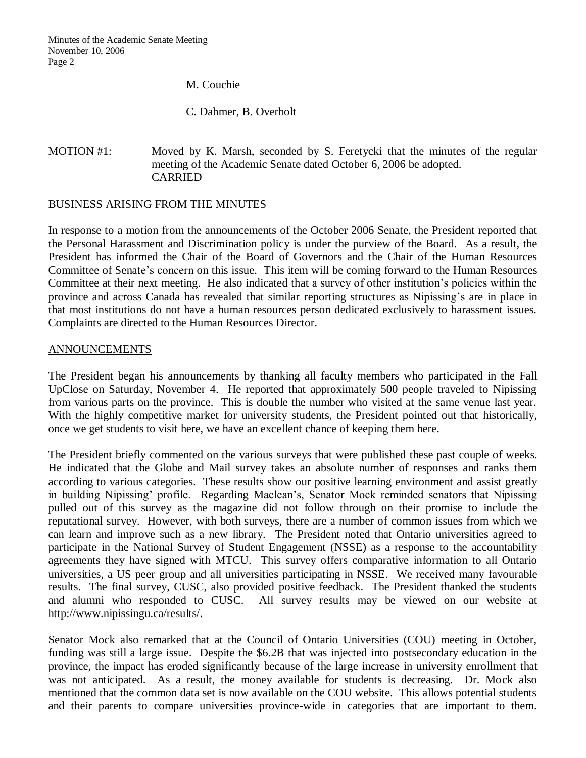M. Couchie

C. Dahmer, B. Overholt

# MOTION #1: Moved by K. Marsh, seconded by S. Feretycki that the minutes of the regular meeting of the Academic Senate dated October 6, 2006 be adopted. CARRIED

## BUSINESS ARISING FROM THE MINUTES

In response to a motion from the announcements of the October 2006 Senate, the President reported that the Personal Harassment and Discrimination policy is under the purview of the Board. As a result, the President has informed the Chair of the Board of Governors and the Chair of the Human Resources Committee of Senate's concern on this issue. This item will be coming forward to the Human Resources Committee at their next meeting. He also indicated that a survey of other institution's policies within the province and across Canada has revealed that similar reporting structures as Nipissing's are in place in that most institutions do not have a human resources person dedicated exclusively to harassment issues. Complaints are directed to the Human Resources Director.

## ANNOUNCEMENTS

The President began his announcements by thanking all faculty members who participated in the Fall UpClose on Saturday, November 4. He reported that approximately 500 people traveled to Nipissing from various parts on the province. This is double the number who visited at the same venue last year. With the highly competitive market for university students, the President pointed out that historically, once we get students to visit here, we have an excellent chance of keeping them here.

The President briefly commented on the various surveys that were published these past couple of weeks. He indicated that the Globe and Mail survey takes an absolute number of responses and ranks them according to various categories. These results show our positive learning environment and assist greatly in building Nipissing' profile. Regarding Maclean's, Senator Mock reminded senators that Nipissing pulled out of this survey as the magazine did not follow through on their promise to include the reputational survey. However, with both surveys, there are a number of common issues from which we can learn and improve such as a new library. The President noted that Ontario universities agreed to participate in the National Survey of Student Engagement (NSSE) as a response to the accountability agreements they have signed with MTCU. This survey offers comparative information to all Ontario universities, a US peer group and all universities participating in NSSE. We received many favourable results. The final survey, CUSC, also provided positive feedback. The President thanked the students and alumni who responded to CUSC. All survey results may be viewed on our website at http://www.nipissingu.ca/results/.

Senator Mock also remarked that at the Council of Ontario Universities (COU) meeting in October, funding was still a large issue. Despite the \$6.2B that was injected into postsecondary education in the province, the impact has eroded significantly because of the large increase in university enrollment that was not anticipated. As a result, the money available for students is decreasing. Dr. Mock also mentioned that the common data set is now available on the COU website. This allows potential students and their parents to compare universities province-wide in categories that are important to them.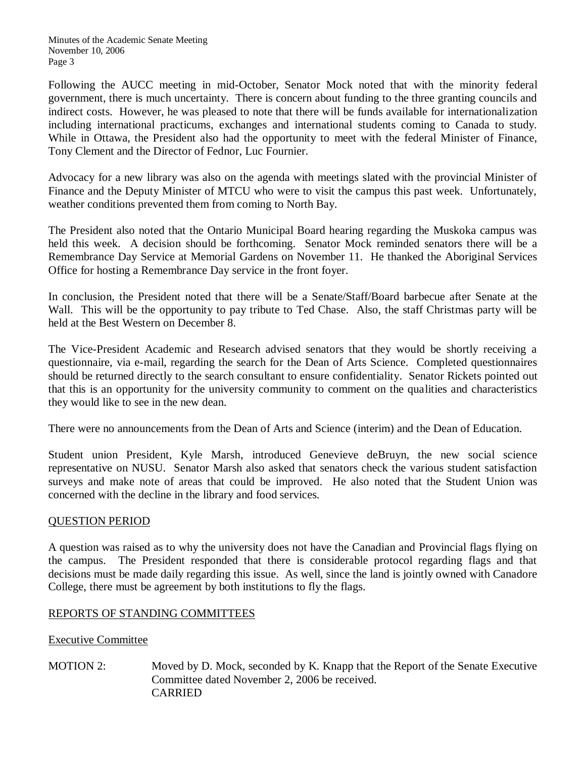Following the AUCC meeting in mid-October, Senator Mock noted that with the minority federal government, there is much uncertainty. There is concern about funding to the three granting councils and indirect costs. However, he was pleased to note that there will be funds available for internationalization including international practicums, exchanges and international students coming to Canada to study. While in Ottawa, the President also had the opportunity to meet with the federal Minister of Finance, Tony Clement and the Director of Fednor, Luc Fournier.

Advocacy for a new library was also on the agenda with meetings slated with the provincial Minister of Finance and the Deputy Minister of MTCU who were to visit the campus this past week. Unfortunately, weather conditions prevented them from coming to North Bay.

The President also noted that the Ontario Municipal Board hearing regarding the Muskoka campus was held this week. A decision should be forthcoming. Senator Mock reminded senators there will be a Remembrance Day Service at Memorial Gardens on November 11. He thanked the Aboriginal Services Office for hosting a Remembrance Day service in the front foyer.

In conclusion, the President noted that there will be a Senate/Staff/Board barbecue after Senate at the Wall. This will be the opportunity to pay tribute to Ted Chase. Also, the staff Christmas party will be held at the Best Western on December 8.

The Vice-President Academic and Research advised senators that they would be shortly receiving a questionnaire, via e-mail, regarding the search for the Dean of Arts Science. Completed questionnaires should be returned directly to the search consultant to ensure confidentiality. Senator Rickets pointed out that this is an opportunity for the university community to comment on the qualities and characteristics they would like to see in the new dean.

There were no announcements from the Dean of Arts and Science (interim) and the Dean of Education.

Student union President, Kyle Marsh, introduced Genevieve deBruyn, the new social science representative on NUSU. Senator Marsh also asked that senators check the various student satisfaction surveys and make note of areas that could be improved. He also noted that the Student Union was concerned with the decline in the library and food services.

# QUESTION PERIOD

A question was raised as to why the university does not have the Canadian and Provincial flags flying on the campus. The President responded that there is considerable protocol regarding flags and that decisions must be made daily regarding this issue. As well, since the land is jointly owned with Canadore College, there must be agreement by both institutions to fly the flags.

# REPORTS OF STANDING COMMITTEES

# Executive Committee

MOTION 2: Moved by D. Mock, seconded by K. Knapp that the Report of the Senate Executive Committee dated November 2, 2006 be received. CARRIED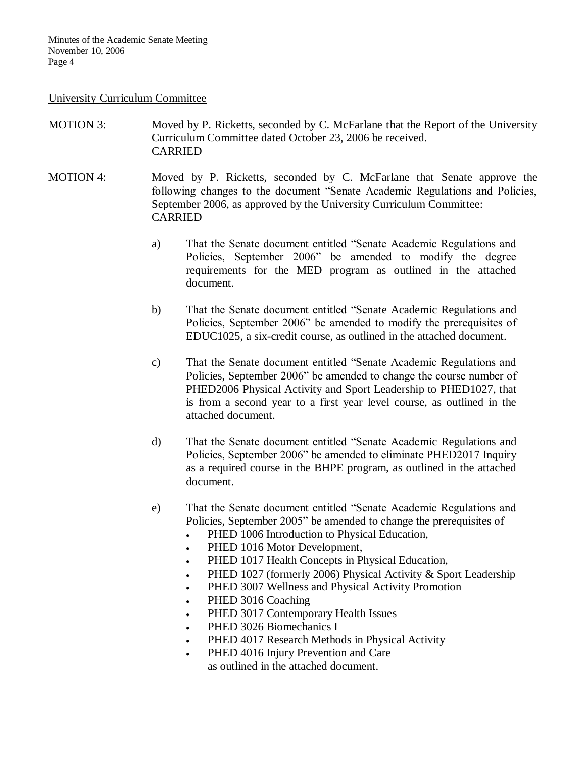#### University Curriculum Committee

- MOTION 3: Moved by P. Ricketts, seconded by C. McFarlane that the Report of the University Curriculum Committee dated October 23, 2006 be received. CARRIED
- MOTION 4: Moved by P. Ricketts, seconded by C. McFarlane that Senate approve the following changes to the document "Senate Academic Regulations and Policies, September 2006, as approved by the University Curriculum Committee: CARRIED
	- a) That the Senate document entitled "Senate Academic Regulations and Policies, September 2006" be amended to modify the degree requirements for the MED program as outlined in the attached document.
	- b) That the Senate document entitled "Senate Academic Regulations and Policies, September 2006" be amended to modify the prerequisites of EDUC1025, a six-credit course, as outlined in the attached document.
	- c) That the Senate document entitled "Senate Academic Regulations and Policies, September 2006" be amended to change the course number of PHED2006 Physical Activity and Sport Leadership to PHED1027, that is from a second year to a first year level course, as outlined in the attached document.
	- d) That the Senate document entitled "Senate Academic Regulations and Policies, September 2006" be amended to eliminate PHED2017 Inquiry as a required course in the BHPE program, as outlined in the attached document.
	- e) That the Senate document entitled "Senate Academic Regulations and Policies, September 2005" be amended to change the prerequisites of
		- PHED 1006 Introduction to Physical Education,
		- PHED 1016 Motor Development,
		- PHED 1017 Health Concepts in Physical Education,
		- PHED 1027 (formerly 2006) Physical Activity & Sport Leadership
		- **•** PHED 3007 Wellness and Physical Activity Promotion
		- PHED 3016 Coaching
		- PHED 3017 Contemporary Health Issues
		- PHED 3026 Biomechanics I
		- PHED 4017 Research Methods in Physical Activity
		- PHED 4016 Injury Prevention and Care as outlined in the attached document.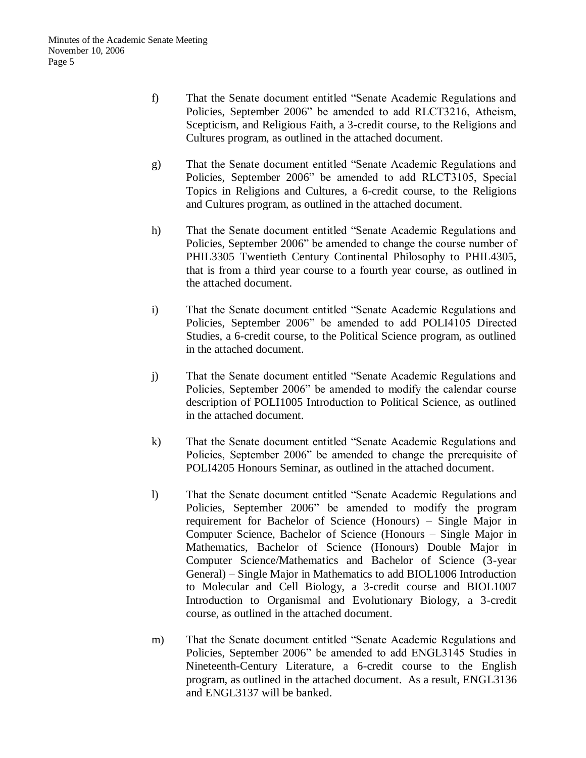- f) That the Senate document entitled "Senate Academic Regulations and Policies, September 2006" be amended to add RLCT3216, Atheism, Scepticism, and Religious Faith, a 3-credit course, to the Religions and Cultures program, as outlined in the attached document.
- g) That the Senate document entitled "Senate Academic Regulations and Policies, September 2006" be amended to add RLCT3105, Special Topics in Religions and Cultures, a 6-credit course, to the Religions and Cultures program, as outlined in the attached document.
- h) That the Senate document entitled "Senate Academic Regulations and Policies, September 2006" be amended to change the course number of PHIL3305 Twentieth Century Continental Philosophy to PHIL4305, that is from a third year course to a fourth year course, as outlined in the attached document.
- i) That the Senate document entitled "Senate Academic Regulations and Policies, September 2006" be amended to add POLI4105 Directed Studies, a 6-credit course, to the Political Science program, as outlined in the attached document.
- j) That the Senate document entitled "Senate Academic Regulations and Policies, September 2006" be amended to modify the calendar course description of POLI1005 Introduction to Political Science, as outlined in the attached document.
- k) That the Senate document entitled "Senate Academic Regulations and Policies, September 2006" be amended to change the prerequisite of POLI4205 Honours Seminar, as outlined in the attached document.
- l) That the Senate document entitled "Senate Academic Regulations and Policies, September 2006" be amended to modify the program requirement for Bachelor of Science (Honours) – Single Major in Computer Science, Bachelor of Science (Honours – Single Major in Mathematics, Bachelor of Science (Honours) Double Major in Computer Science/Mathematics and Bachelor of Science (3-year General) – Single Major in Mathematics to add BIOL1006 Introduction to Molecular and Cell Biology, a 3-credit course and BIOL1007 Introduction to Organismal and Evolutionary Biology, a 3-credit course, as outlined in the attached document.
- m) That the Senate document entitled "Senate Academic Regulations and Policies, September 2006" be amended to add ENGL3145 Studies in Nineteenth-Century Literature, a 6-credit course to the English program, as outlined in the attached document. As a result, ENGL3136 and ENGL3137 will be banked.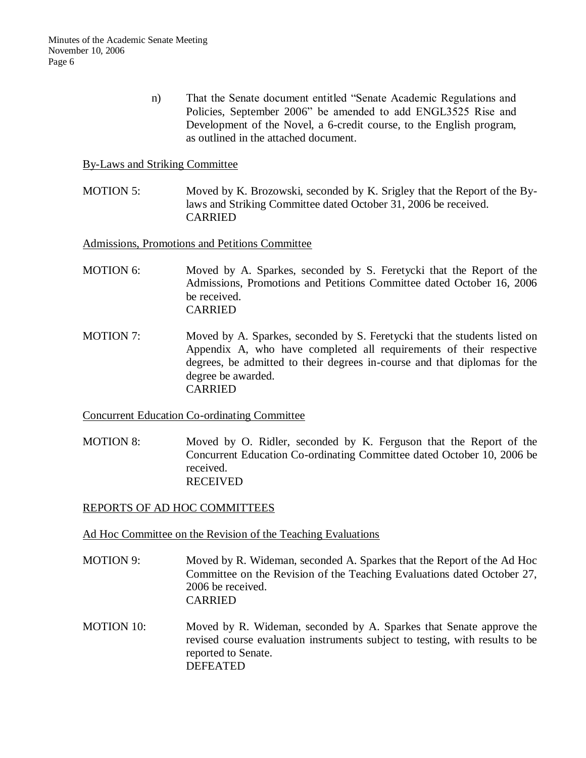n) That the Senate document entitled "Senate Academic Regulations and Policies, September 2006" be amended to add ENGL3525 Rise and Development of the Novel, a 6-credit course, to the English program, as outlined in the attached document.

## By-Laws and Striking Committee

MOTION 5: Moved by K. Brozowski, seconded by K. Srigley that the Report of the Bylaws and Striking Committee dated October 31, 2006 be received. CARRIED

Admissions, Promotions and Petitions Committee

- MOTION 6: Moved by A. Sparkes, seconded by S. Feretycki that the Report of the Admissions, Promotions and Petitions Committee dated October 16, 2006 be received. CARRIED
- MOTION 7: Moved by A. Sparkes, seconded by S. Feretycki that the students listed on Appendix A, who have completed all requirements of their respective degrees, be admitted to their degrees in-course and that diplomas for the degree be awarded. CARRIED

Concurrent Education Co-ordinating Committee

MOTION 8: Moved by O. Ridler, seconded by K. Ferguson that the Report of the Concurrent Education Co-ordinating Committee dated October 10, 2006 be received. RECEIVED

## REPORTS OF AD HOC COMMITTEES

Ad Hoc Committee on the Revision of the Teaching Evaluations

- MOTION 9: Moved by R. Wideman, seconded A. Sparkes that the Report of the Ad Hoc Committee on the Revision of the Teaching Evaluations dated October 27, 2006 be received. CARRIED
- MOTION 10: Moved by R. Wideman, seconded by A. Sparkes that Senate approve the revised course evaluation instruments subject to testing, with results to be reported to Senate. DEFEATED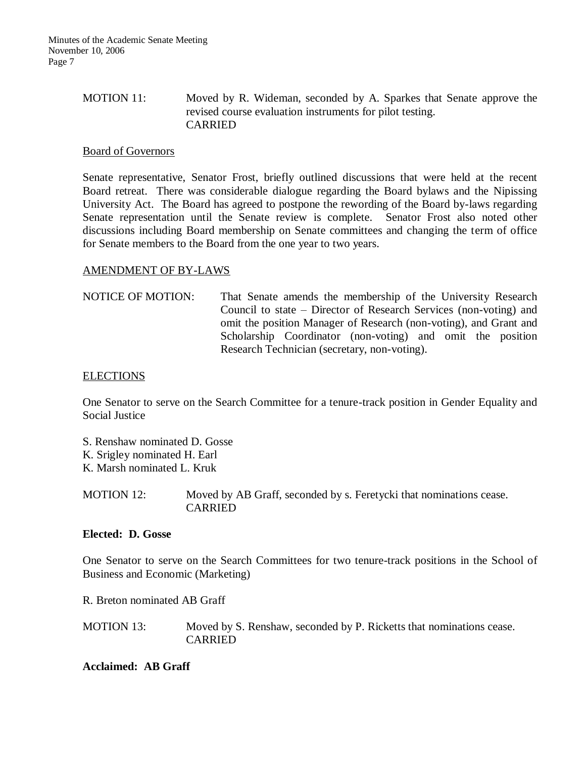# MOTION 11: Moved by R. Wideman, seconded by A. Sparkes that Senate approve the revised course evaluation instruments for pilot testing. CARRIED

## Board of Governors

Senate representative, Senator Frost, briefly outlined discussions that were held at the recent Board retreat. There was considerable dialogue regarding the Board bylaws and the Nipissing University Act. The Board has agreed to postpone the rewording of the Board by-laws regarding Senate representation until the Senate review is complete. Senator Frost also noted other discussions including Board membership on Senate committees and changing the term of office for Senate members to the Board from the one year to two years.

### AMENDMENT OF BY-LAWS

NOTICE OF MOTION: That Senate amends the membership of the University Research Council to state – Director of Research Services (non-voting) and omit the position Manager of Research (non-voting), and Grant and Scholarship Coordinator (non-voting) and omit the position Research Technician (secretary, non-voting).

#### **ELECTIONS**

One Senator to serve on the Search Committee for a tenure-track position in Gender Equality and Social Justice

- S. Renshaw nominated D. Gosse
- K. Srigley nominated H. Earl
- K. Marsh nominated L. Kruk

MOTION 12: Moved by AB Graff, seconded by s. Feretycki that nominations cease. CARRIED

#### **Elected: D. Gosse**

One Senator to serve on the Search Committees for two tenure-track positions in the School of Business and Economic (Marketing)

R. Breton nominated AB Graff

| <b>MOTION 13:</b> | Moved by S. Renshaw, seconded by P. Ricketts that nominations cease. |
|-------------------|----------------------------------------------------------------------|
|                   | <b>CARRIED</b>                                                       |

### **Acclaimed: AB Graff**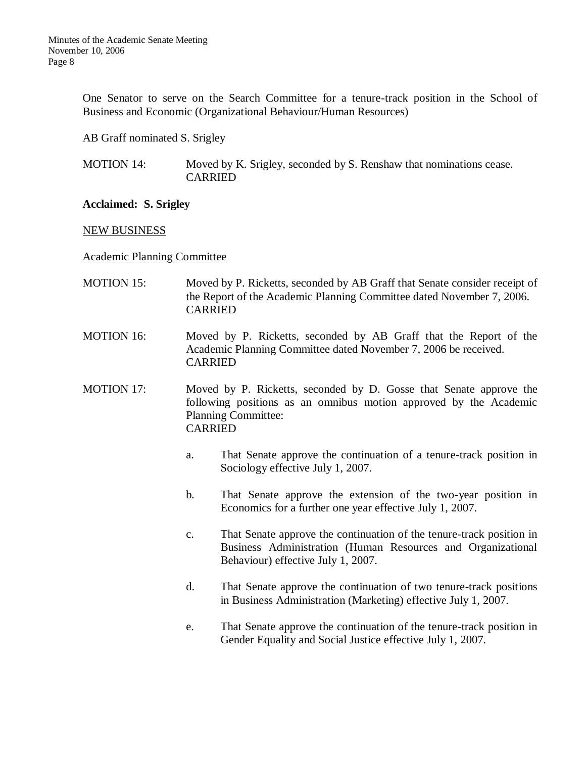One Senator to serve on the Search Committee for a tenure-track position in the School of Business and Economic (Organizational Behaviour/Human Resources)

AB Graff nominated S. Srigley

MOTION 14: Moved by K. Srigley, seconded by S. Renshaw that nominations cease. CARRIED

### **Acclaimed: S. Srigley**

### NEW BUSINESS

Academic Planning Committee

- MOTION 15: Moved by P. Ricketts, seconded by AB Graff that Senate consider receipt of the Report of the Academic Planning Committee dated November 7, 2006. CARRIED
- MOTION 16: Moved by P. Ricketts, seconded by AB Graff that the Report of the Academic Planning Committee dated November 7, 2006 be received. CARRIED
- MOTION 17: Moved by P. Ricketts, seconded by D. Gosse that Senate approve the following positions as an omnibus motion approved by the Academic Planning Committee: CARRIED
	- a. That Senate approve the continuation of a tenure-track position in Sociology effective July 1, 2007.
	- b. That Senate approve the extension of the two-year position in Economics for a further one year effective July 1, 2007.
	- c. That Senate approve the continuation of the tenure-track position in Business Administration (Human Resources and Organizational Behaviour) effective July 1, 2007.
	- d. That Senate approve the continuation of two tenure-track positions in Business Administration (Marketing) effective July 1, 2007.
	- e. That Senate approve the continuation of the tenure-track position in Gender Equality and Social Justice effective July 1, 2007.